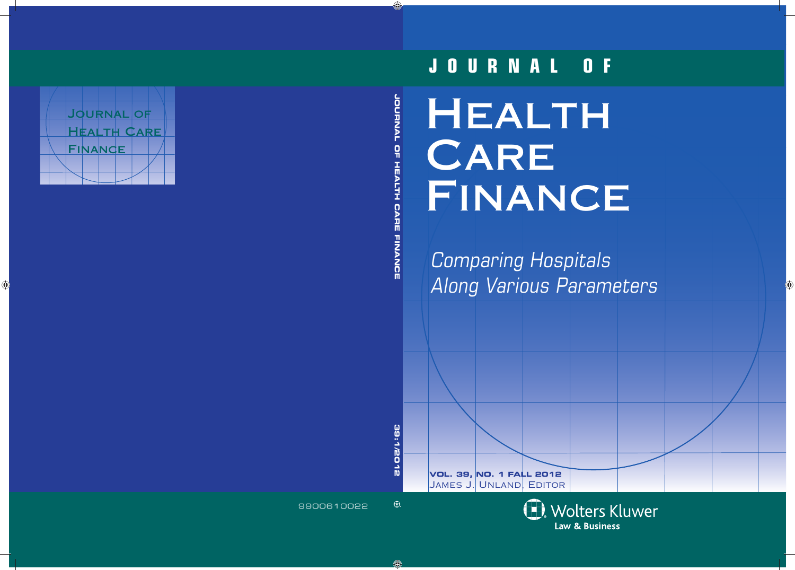# **HEALTH CARE** FINANCE **JOURNAL OF**

Comparing Hospitals Along Various Parameters

James J. Unland, Editor**VOL. 39, NO. 1 FALL 2012**

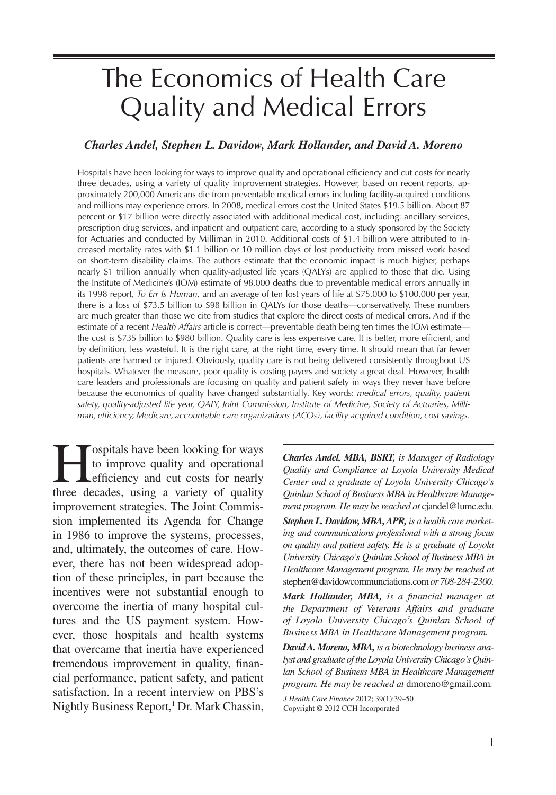# The Economics of Health Care Quality and Medical Errors

# *Charles Andel, Stephen L. Davidow, Mark Hollander, and David A. Moreno*

Hospitals have been looking for ways to improve quality and operational efficiency and cut costs for nearly three decades, using a variety of quality improvement strategies. However, based on recent reports, approximately 200,000 Americans die from preventable medical errors including facility-acquired conditions and millions may experience errors. In 2008, medical errors cost the United States \$19.5 billion. About 87 percent or \$17 billion were directly associated with additional medical cost, including: ancillary services, prescription drug services, and inpatient and outpatient care, according to a study sponsored by the Society for Actuaries and conducted by Milliman in 2010. Additional costs of \$1.4 billion were attributed to increased mortality rates with \$1.1 billion or 10 million days of lost productivity from missed work based on short-term disability claims. The authors estimate that the economic impact is much higher, perhaps nearly \$1 trillion annually when quality-adjusted life years (QALYs) are applied to those that die. Using the Institute of Medicine's (IOM) estimate of 98,000 deaths due to preventable medical errors annually in its 1998 report, *To Err Is Human*, and an average of ten lost years of life at \$75,000 to \$100,000 per year, there is a loss of \$73.5 billion to \$98 billion in QALYs for those deaths—conservatively. These numbers are much greater than those we cite from studies that explore the direct costs of medical errors. And if the estimate of a recent *Health Affairs* article is correct—preventable death being ten times the IOM estimate the cost is \$735 billion to \$980 billion. Quality care is less expensive care. It is better, more efficient, and by definition, less wasteful. It is the right care, at the right time, every time. It should mean that far fewer patients are harmed or injured. Obviously, quality care is not being delivered consistently throughout US hospitals. Whatever the measure, poor quality is costing payers and society a great deal. However, health care leaders and professionals are focusing on quality and patient safety in ways they never have before because the economics of quality have changed substantially. Key words: *medical errors, quality, patient safety, quality-adjusted life year, QALY, Joint Commission, Institute of Medicine, Society of Actuaries, Milliman, effi ciency, Medicare, accountable care organizations (ACOs), facility-acquired condition, cost savings*.

**Hospitals have been looking for ways**<br>to improve quality and operational<br>efficiency and cut costs for nearly<br>three decades using a variety of quality to improve quality and operational efficiency and cut costs for nearly three decades, using a variety of quality improvement strategies. The Joint Commission implemented its Agenda for Change in 1986 to improve the systems, processes, and, ultimately, the outcomes of care. However, there has not been widespread adoption of these principles, in part because the incentives were not substantial enough to overcome the inertia of many hospital cultures and the US payment system. However, those hospitals and health systems that overcame that inertia have experienced tremendous improvement in quality, financial performance, patient safety, and patient satisfaction. In a recent interview on PBS's Nightly Business Report,<sup>1</sup> Dr. Mark Chassin,

*Charles Andel, MBA, BSRT, is Manager of Radiology Quality and Compliance at Loyola University Medical Center and a graduate of Loyola University Chicago's Quinlan School of Business MBA in Healthcare Management program. He may be reached at* cjandel@lumc.edu*.* 

*Stephen L. Davidow, MBA, APR, is a health care marketing and communications professional with a strong focus on quality and patient safety. He is a graduate of Loyola University Chicago's Quinlan School of Business MBA in Healthcare Management program. He may be reached at*  stephen@davidowcommunciations.com *or 708-284-2300.*

*Mark Hollander, MBA, is a financial manager at the Department of Veterans Affairs and graduate of Loyola University Chicago's Quinlan School of Business MBA in Healthcare Management program.*

*David A. Moreno, MBA, is a biotechnology business analyst and graduate of the Loyola University Chicago's Quinlan School of Business MBA in Healthcare Management program. He may be reached at* dmoreno@gmail.com*.*

*J Health Care Finance* 2012; 39(1):39–50 Copyright © 2012 CCH Incorporated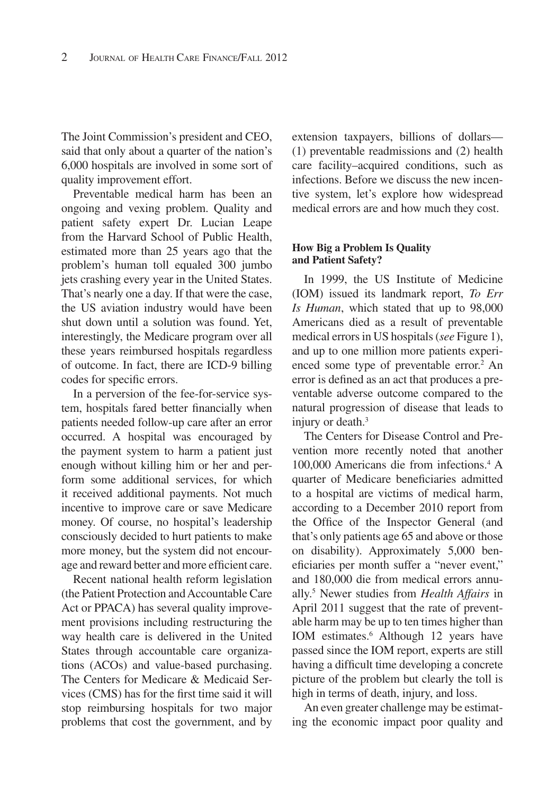The Joint Commission's president and CEO, said that only about a quarter of the nation's 6,000 hospitals are involved in some sort of quality improvement effort.

Preventable medical harm has been an ongoing and vexing problem. Quality and patient safety expert Dr. Lucian Leape from the Harvard School of Public Health, estimated more than 25 years ago that the problem's human toll equaled 300 jumbo jets crashing every year in the United States. That's nearly one a day. If that were the case, the US aviation industry would have been shut down until a solution was found. Yet, interestingly, the Medicare program over all these years reimbursed hospitals regardless of outcome. In fact, there are ICD-9 billing codes for specific errors.

In a perversion of the fee-for-service system, hospitals fared better financially when patients needed follow-up care after an error occurred. A hospital was encouraged by the payment system to harm a patient just enough without killing him or her and perform some additional services, for which it received additional payments. Not much incentive to improve care or save Medicare money. Of course, no hospital's leadership consciously decided to hurt patients to make more money, but the system did not encourage and reward better and more efficient care.

Recent national health reform legislation (the Patient Protection and Accountable Care Act or PPACA) has several quality improvement provisions including restructuring the way health care is delivered in the United States through accountable care organizations (ACOs) and value-based purchasing. The Centers for Medicare & Medicaid Services (CMS) has for the first time said it will stop reimbursing hospitals for two major problems that cost the government, and by

extension taxpayers, billions of dollars— (1) preventable readmissions and (2) health care facility–acquired conditions, such as infections. Before we discuss the new incentive system, let's explore how widespread medical errors are and how much they cost.

#### **How Big a Problem Is Quality and Patient Safety?**

In 1999, the US Institute of Medicine (IOM) issued its landmark report, *To Err Is Human*, which stated that up to 98,000 Americans died as a result of preventable medical errors in US hospitals (*see* Figure 1), and up to one million more patients experienced some type of preventable error.<sup>2</sup> An error is defined as an act that produces a preventable adverse outcome compared to the natural progression of disease that leads to injury or death.<sup>3</sup>

The Centers for Disease Control and Prevention more recently noted that another 100,000 Americans die from infections.4 A quarter of Medicare beneficiaries admitted to a hospital are victims of medical harm, according to a December 2010 report from the Office of the Inspector General (and that's only patients age 65 and above or those on disability). Approximately 5,000 beneficiaries per month suffer a "never event," and 180,000 die from medical errors annually.5 Newer studies from *Health Affairs* in April 2011 suggest that the rate of preventable harm may be up to ten times higher than IOM estimates.<sup>6</sup> Although 12 years have passed since the IOM report, experts are still having a difficult time developing a concrete picture of the problem but clearly the toll is high in terms of death, injury, and loss.

An even greater challenge may be estimating the economic impact poor quality and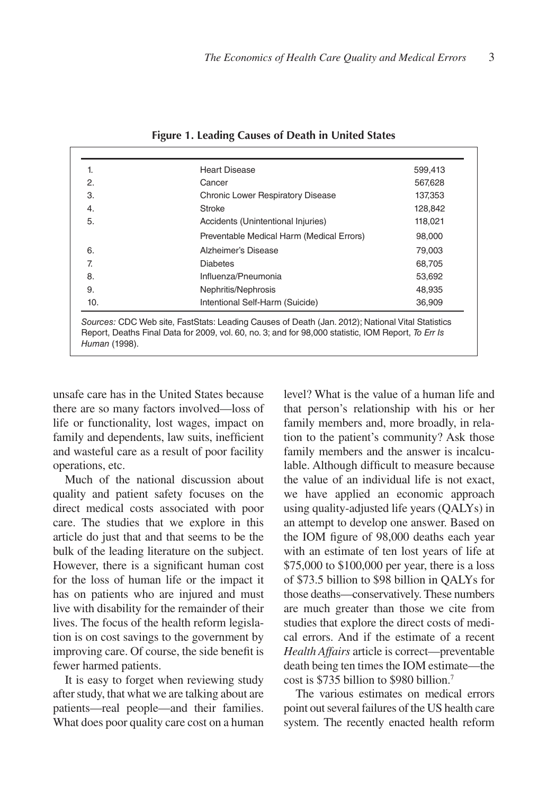| 1.  | <b>Heart Disease</b>                      | 599,413 |
|-----|-------------------------------------------|---------|
| 2.  | Cancer                                    | 567,628 |
| 3.  | Chronic Lower Respiratory Disease         | 137,353 |
| 4.  | Stroke                                    | 128,842 |
| 5.  | Accidents (Unintentional Injuries)        | 118,021 |
|     | Preventable Medical Harm (Medical Errors) | 98,000  |
| 6.  | Alzheimer's Disease                       | 79.003  |
| 7.  | <b>Diabetes</b>                           | 68,705  |
| 8.  | Influenza/Pneumonia                       | 53,692  |
| 9.  | Nephritis/Nephrosis                       | 48.935  |
| 10. | Intentional Self-Harm (Suicide)           | 36,909  |

**Figure 1. Leading Causes of Death in United States**

unsafe care has in the United States because there are so many factors involved—loss of life or functionality, lost wages, impact on family and dependents, law suits, inefficient and wasteful care as a result of poor facility operations, etc.

Much of the national discussion about quality and patient safety focuses on the direct medical costs associated with poor care. The studies that we explore in this article do just that and that seems to be the bulk of the leading literature on the subject. However, there is a significant human cost for the loss of human life or the impact it has on patients who are injured and must live with disability for the remainder of their lives. The focus of the health reform legislation is on cost savings to the government by improving care. Of course, the side benefit is fewer harmed patients.

It is easy to forget when reviewing study after study, that what we are talking about are patients—real people—and their families. What does poor quality care cost on a human

level? What is the value of a human life and that person's relationship with his or her family members and, more broadly, in relation to the patient's community? Ask those family members and the answer is incalculable. Although difficult to measure because the value of an individual life is not exact, we have applied an economic approach using quality-adjusted life years (QALYs) in an attempt to develop one answer. Based on the IOM figure of 98,000 deaths each year with an estimate of ten lost years of life at \$75,000 to \$100,000 per year, there is a loss of \$73.5 billion to \$98 billion in QALYs for those deaths—conservatively. These numbers are much greater than those we cite from studies that explore the direct costs of medical errors. And if the estimate of a recent *Health Affairs* article is correct—preventable death being ten times the IOM estimate—the cost is \$735 billion to \$980 billion.7

The various estimates on medical errors point out several failures of the US health care system. The recently enacted health reform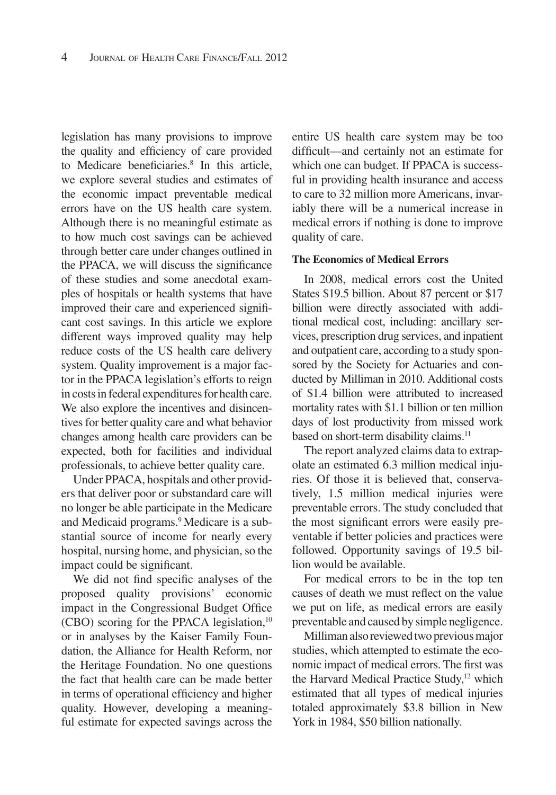legislation has many provisions to improve the quality and efficiency of care provided to Medicare beneficiaries.<sup>8</sup> In this article, we explore several studies and estimates of the economic impact preventable medical errors have on the US health care system. Although there is no meaningful estimate as to how much cost savings can be achieved through better care under changes outlined in the PPACA, we will discuss the significance of these studies and some anecdotal examples of hospitals or health systems that have improved their care and experienced significant cost savings. In this article we explore different ways improved quality may help reduce costs of the US health care delivery system. Quality improvement is a major factor in the PPACA legislation's efforts to reign in costs in federal expenditures for health care. We also explore the incentives and disincentives for better quality care and what behavior changes among health care providers can be expected, both for facilities and individual professionals, to achieve better quality care.

Under PPACA, hospitals and other providers that deliver poor or substandard care will no longer be able participate in the Medicare and Medicaid programs.9 Medicare is a substantial source of income for nearly every hospital, nursing home, and physician, so the impact could be significant.

We did not find specific analyses of the proposed quality provisions' economic impact in the Congressional Budget Office (CBO) scoring for the PPACA legislation, $10$ or in analyses by the Kaiser Family Foundation, the Alliance for Health Reform, nor the Heritage Foundation. No one questions the fact that health care can be made better in terms of operational efficiency and higher quality. However, developing a meaningful estimate for expected savings across the

entire US health care system may be too difficult—and certainly not an estimate for which one can budget. If PPACA is successful in providing health insurance and access to care to 32 million more Americans, invariably there will be a numerical increase in medical errors if nothing is done to improve quality of care.

#### **The Economics of Medical Errors**

In 2008, medical errors cost the United States \$19.5 billion. About 87 percent or \$17 billion were directly associated with additional medical cost, including: ancillary services, prescription drug services, and inpatient and outpatient care, according to a study sponsored by the Society for Actuaries and conducted by Milliman in 2010. Additional costs of \$1.4 billion were attributed to increased mortality rates with \$1.1 billion or ten million days of lost productivity from missed work based on short-term disability claims.<sup>11</sup>

The report analyzed claims data to extrapolate an estimated 6.3 million medical injuries. Of those it is believed that, conservatively, 1.5 million medical injuries were preventable errors. The study concluded that the most significant errors were easily preventable if better policies and practices were followed. Opportunity savings of 19.5 billion would be available.

For medical errors to be in the top ten causes of death we must reflect on the value we put on life, as medical errors are easily preventable and caused by simple negligence.

Milliman also reviewed two previous major studies, which attempted to estimate the economic impact of medical errors. The first was the Harvard Medical Practice Study,<sup>12</sup> which estimated that all types of medical injuries totaled approximately \$3.8 billion in New York in 1984, \$50 billion nationally.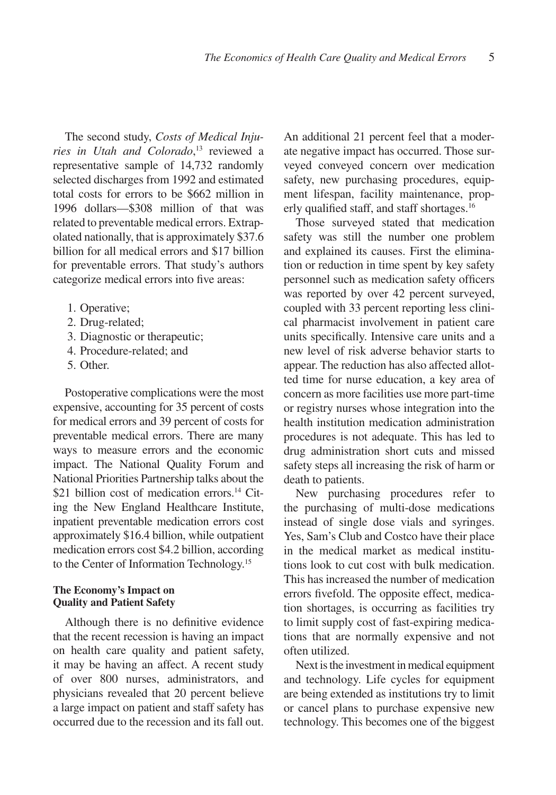The second study, *Costs of Medical Injuries in Utah and Colorado*, 13 reviewed a representative sample of 14,732 randomly selected discharges from 1992 and estimated total costs for errors to be \$662 million in 1996 dollars—\$308 million of that was related to preventable medical errors. Extrapolated nationally, that is approximately \$37.6 billion for all medical errors and \$17 billion for preventable errors. That study's authors categorize medical errors into five areas:

- 1. Operative;
- 2. Drug-related;
- 3. Diagnostic or therapeutic;
- 4. Procedure-related; and
- 5. Other.

Postoperative complications were the most expensive, accounting for 35 percent of costs for medical errors and 39 percent of costs for preventable medical errors. There are many ways to measure errors and the economic impact. The National Quality Forum and National Priorities Partnership talks about the \$21 billion cost of medication errors.<sup>14</sup> Citing the New England Healthcare Institute, inpatient preventable medication errors cost approximately \$16.4 billion, while outpatient medication errors cost \$4.2 billion, according to the Center of Information Technology.<sup>15</sup>

#### **The Economy's Impact on Quality and Patient Safety**

Although there is no definitive evidence that the recent recession is having an impact on health care quality and patient safety, it may be having an affect. A recent study of over 800 nurses, administrators, and physicians revealed that 20 percent believe a large impact on patient and staff safety has occurred due to the recession and its fall out.

An additional 21 percent feel that a moderate negative impact has occurred. Those surveyed conveyed concern over medication safety, new purchasing procedures, equipment lifespan, facility maintenance, properly qualified staff, and staff shortages.<sup>16</sup>

Those surveyed stated that medication safety was still the number one problem and explained its causes. First the elimination or reduction in time spent by key safety personnel such as medication safety officers was reported by over 42 percent surveyed, coupled with 33 percent reporting less clinical pharmacist involvement in patient care units specifically. Intensive care units and a new level of risk adverse behavior starts to appear. The reduction has also affected allotted time for nurse education, a key area of concern as more facilities use more part-time or registry nurses whose integration into the health institution medication administration procedures is not adequate. This has led to drug administration short cuts and missed safety steps all increasing the risk of harm or death to patients.

New purchasing procedures refer to the purchasing of multi-dose medications instead of single dose vials and syringes. Yes, Sam's Club and Costco have their place in the medical market as medical institutions look to cut cost with bulk medication. This has increased the number of medication errors fivefold. The opposite effect, medication shortages, is occurring as facilities try to limit supply cost of fast-expiring medications that are normally expensive and not often utilized.

Next is the investment in medical equipment and technology. Life cycles for equipment are being extended as institutions try to limit or cancel plans to purchase expensive new technology. This becomes one of the biggest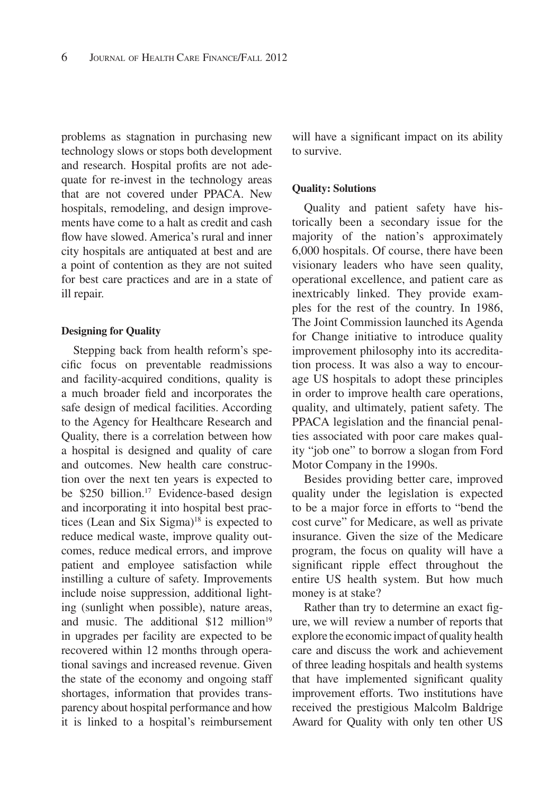problems as stagnation in purchasing new technology slows or stops both development and research. Hospital profits are not adequate for re-invest in the technology areas that are not covered under PPACA. New hospitals, remodeling, and design improvements have come to a halt as credit and cash flow have slowed. America's rural and inner city hospitals are antiquated at best and are a point of contention as they are not suited for best care practices and are in a state of ill repair.

#### **Designing for Quality**

Stepping back from health reform's specific focus on preventable readmissions and facility-acquired conditions, quality is a much broader field and incorporates the safe design of medical facilities. According to the Agency for Healthcare Research and Quality, there is a correlation between how a hospital is designed and quality of care and outcomes. New health care construction over the next ten years is expected to be \$250 billion.<sup>17</sup> Evidence-based design and incorporating it into hospital best practices (Lean and Six Sigma) $18$  is expected to reduce medical waste, improve quality outcomes, reduce medical errors, and improve patient and employee satisfaction while instilling a culture of safety. Improvements include noise suppression, additional lighting (sunlight when possible), nature areas, and music. The additional  $$12$  million<sup>19</sup> in upgrades per facility are expected to be recovered within 12 months through operational savings and increased revenue. Given the state of the economy and ongoing staff shortages, information that provides transparency about hospital performance and how it is linked to a hospital's reimbursement

will have a significant impact on its ability to survive.

#### **Quality: Solutions**

Quality and patient safety have historically been a secondary issue for the majority of the nation's approximately 6,000 hospitals. Of course, there have been visionary leaders who have seen quality, operational excellence, and patient care as inextricably linked. They provide examples for the rest of the country. In 1986, The Joint Commission launched its Agenda for Change initiative to introduce quality improvement philosophy into its accreditation process. It was also a way to encourage US hospitals to adopt these principles in order to improve health care operations, quality, and ultimately, patient safety. The PPACA legislation and the financial penalties associated with poor care makes quality "job one" to borrow a slogan from Ford Motor Company in the 1990s.

Besides providing better care, improved quality under the legislation is expected to be a major force in efforts to "bend the cost curve" for Medicare, as well as private insurance. Given the size of the Medicare program, the focus on quality will have a significant ripple effect throughout the entire US health system. But how much money is at stake?

Rather than try to determine an exact figure, we will review a number of reports that explore the economic impact of quality health care and discuss the work and achievement of three leading hospitals and health systems that have implemented significant quality improvement efforts. Two institutions have received the prestigious Malcolm Baldrige Award for Quality with only ten other US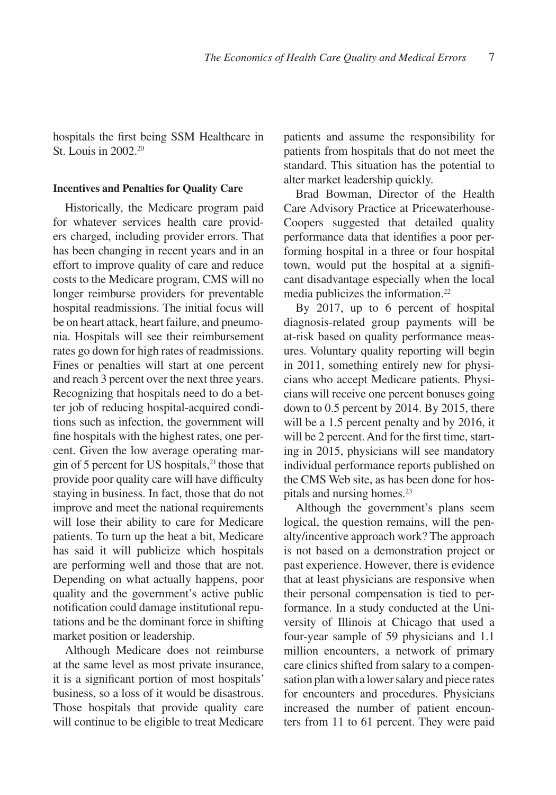hospitals the first being SSM Healthcare in St. Louis in 2002.20

#### **Incentives and Penalties for Quality Care**

Historically, the Medicare program paid for whatever services health care providers charged, including provider errors. That has been changing in recent years and in an effort to improve quality of care and reduce costs to the Medicare program, CMS will no longer reimburse providers for preventable hospital readmissions. The initial focus will be on heart attack, heart failure, and pneumonia. Hospitals will see their reimbursement rates go down for high rates of readmissions. Fines or penalties will start at one percent and reach 3 percent over the next three years. Recognizing that hospitals need to do a better job of reducing hospital-acquired conditions such as infection, the government will fine hospitals with the highest rates, one percent. Given the low average operating margin of 5 percent for US hospitals, $21$  those that provide poor quality care will have difficulty staying in business. In fact, those that do not improve and meet the national requirements will lose their ability to care for Medicare patients. To turn up the heat a bit, Medicare has said it will publicize which hospitals are performing well and those that are not. Depending on what actually happens, poor quality and the government's active public notification could damage institutional reputations and be the dominant force in shifting market position or leadership.

Although Medicare does not reimburse at the same level as most private insurance, it is a significant portion of most hospitals' business, so a loss of it would be disastrous. Those hospitals that provide quality care will continue to be eligible to treat Medicare

patients and assume the responsibility for patients from hospitals that do not meet the standard. This situation has the potential to alter market leadership quickly.

Brad Bowman, Director of the Health Care Advisory Practice at Pricewaterhouse-Coopers suggested that detailed quality performance data that identifies a poor performing hospital in a three or four hospital town, would put the hospital at a significant disadvantage especially when the local media publicizes the information.22

By 2017, up to 6 percent of hospital diagnosis-related group payments will be at-risk based on quality performance measures. Voluntary quality reporting will begin in 2011, something entirely new for physicians who accept Medicare patients. Physicians will receive one percent bonuses going down to 0.5 percent by 2014. By 2015, there will be a 1.5 percent penalty and by 2016, it will be 2 percent. And for the first time, starting in 2015, physicians will see mandatory individual performance reports published on the CMS Web site, as has been done for hospitals and nursing homes.<sup>23</sup>

Although the government's plans seem logical, the question remains, will the penalty/incentive approach work? The approach is not based on a demonstration project or past experience. However, there is evidence that at least physicians are responsive when their personal compensation is tied to performance. In a study conducted at the University of Illinois at Chicago that used a four-year sample of 59 physicians and 1.1 million encounters, a network of primary care clinics shifted from salary to a compensation plan with a lower salary and piece rates for encounters and procedures. Physicians increased the number of patient encounters from 11 to 61 percent. They were paid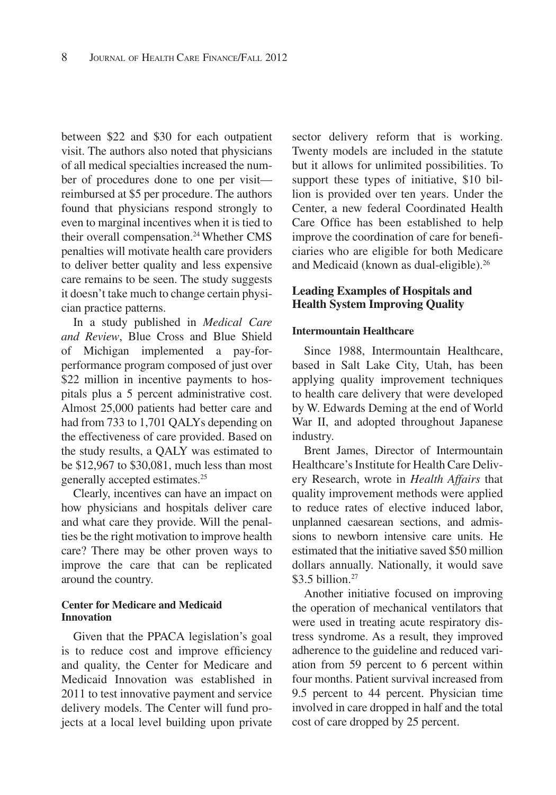between \$22 and \$30 for each outpatient visit. The authors also noted that physicians of all medical specialties increased the number of procedures done to one per visit reimbursed at \$5 per procedure. The authors found that physicians respond strongly to even to marginal incentives when it is tied to their overall compensation.<sup>24</sup> Whether CMS penalties will motivate health care providers to deliver better quality and less expensive care remains to be seen. The study suggests it doesn't take much to change certain physician practice patterns.

In a study published in *Medical Care and Review*, Blue Cross and Blue Shield of Michigan implemented a pay-forperformance program composed of just over \$22 million in incentive payments to hospitals plus a 5 percent administrative cost. Almost 25,000 patients had better care and had from 733 to 1,701 QALYs depending on the effectiveness of care provided. Based on the study results, a QALY was estimated to be \$12,967 to \$30,081, much less than most generally accepted estimates.25

Clearly, incentives can have an impact on how physicians and hospitals deliver care and what care they provide. Will the penalties be the right motivation to improve health care? There may be other proven ways to improve the care that can be replicated around the country.

## **Center for Medicare and Medicaid Innovation**

Given that the PPACA legislation's goal is to reduce cost and improve efficiency and quality, the Center for Medicare and Medicaid Innovation was established in 2011 to test innovative payment and service delivery models. The Center will fund projects at a local level building upon private

sector delivery reform that is working. Twenty models are included in the statute but it allows for unlimited possibilities. To support these types of initiative, \$10 billion is provided over ten years. Under the Center, a new federal Coordinated Health Care Office has been established to help improve the coordination of care for beneficiaries who are eligible for both Medicare and Medicaid (known as dual-eligible).<sup>26</sup>

# **Leading Examples of Hospitals and Health System Improving Quality**

#### **Intermountain Healthcare**

Since 1988, Intermountain Healthcare, based in Salt Lake City, Utah, has been applying quality improvement techniques to health care delivery that were developed by W. Edwards Deming at the end of World War II, and adopted throughout Japanese industry.

Brent James, Director of Intermountain Healthcare's Institute for Health Care Delivery Research, wrote in *Health Affairs* that quality improvement methods were applied to reduce rates of elective induced labor, unplanned caesarean sections, and admissions to newborn intensive care units. He estimated that the initiative saved \$50 million dollars annually. Nationally, it would save \$3.5 billion.<sup>27</sup>

Another initiative focused on improving the operation of mechanical ventilators that were used in treating acute respiratory distress syndrome. As a result, they improved adherence to the guideline and reduced variation from 59 percent to 6 percent within four months. Patient survival increased from 9.5 percent to 44 percent. Physician time involved in care dropped in half and the total cost of care dropped by 25 percent.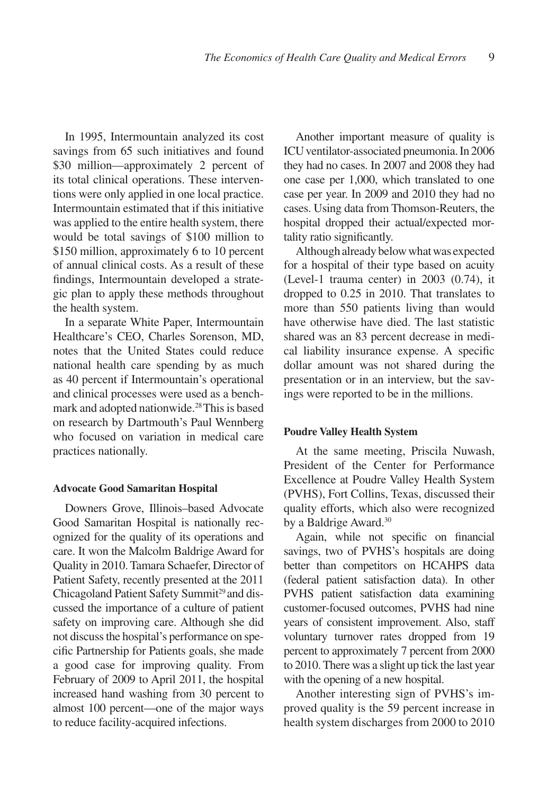In 1995, Intermountain analyzed its cost savings from 65 such initiatives and found \$30 million—approximately 2 percent of its total clinical operations. These interventions were only applied in one local practice. Intermountain estimated that if this initiative was applied to the entire health system, there would be total savings of \$100 million to \$150 million, approximately 6 to 10 percent of annual clinical costs. As a result of these findings, Intermountain developed a strategic plan to apply these methods throughout the health system.

In a separate White Paper, Intermountain Healthcare's CEO, Charles Sorenson, MD, notes that the United States could reduce national health care spending by as much as 40 percent if Intermountain's operational and clinical processes were used as a benchmark and adopted nationwide.28 This is based on research by Dartmouth's Paul Wennberg who focused on variation in medical care practices nationally.

#### **Advocate Good Samaritan Hospital**

Downers Grove, Illinois–based Advocate Good Samaritan Hospital is nationally recognized for the quality of its operations and care. It won the Malcolm Baldrige Award for Quality in 2010. Tamara Schaefer, Director of Patient Safety, recently presented at the 2011 Chicagoland Patient Safety Summit<sup>29</sup> and discussed the importance of a culture of patient safety on improving care. Although she did not discuss the hospital's performance on specific Partnership for Patients goals, she made a good case for improving quality. From February of 2009 to April 2011, the hospital increased hand washing from 30 percent to almost 100 percent—one of the major ways to reduce facility-acquired infections.

Another important measure of quality is ICU ventilator-associated pneumonia. In 2006 they had no cases. In 2007 and 2008 they had one case per 1,000, which translated to one case per year. In 2009 and 2010 they had no cases. Using data from Thomson-Reuters, the hospital dropped their actual/expected mortality ratio significantly.

Although already below what was expected for a hospital of their type based on acuity (Level-1 trauma center) in 2003 (0.74), it dropped to 0.25 in 2010. That translates to more than 550 patients living than would have otherwise have died. The last statistic shared was an 83 percent decrease in medical liability insurance expense. A specific dollar amount was not shared during the presentation or in an interview, but the savings were reported to be in the millions.

#### **Poudre Valley Health System**

At the same meeting, Priscila Nuwash, President of the Center for Performance Excellence at Poudre Valley Health System (PVHS), Fort Collins, Texas, discussed their quality efforts, which also were recognized by a Baldrige Award.<sup>30</sup>

Again, while not specific on financial savings, two of PVHS's hospitals are doing better than competitors on HCAHPS data (federal patient satisfaction data). In other PVHS patient satisfaction data examining customer-focused outcomes, PVHS had nine years of consistent improvement. Also, staff voluntary turnover rates dropped from 19 percent to approximately 7 percent from 2000 to 2010. There was a slight up tick the last year with the opening of a new hospital.

Another interesting sign of PVHS's improved quality is the 59 percent increase in health system discharges from 2000 to 2010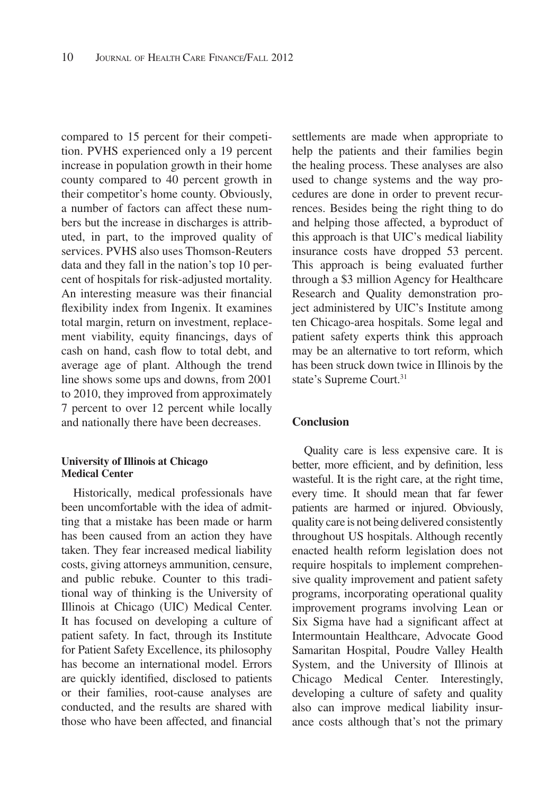compared to 15 percent for their competition. PVHS experienced only a 19 percent increase in population growth in their home county compared to 40 percent growth in their competitor's home county. Obviously, a number of factors can affect these numbers but the increase in discharges is attributed, in part, to the improved quality of services. PVHS also uses Thomson-Reuters data and they fall in the nation's top 10 percent of hospitals for risk-adjusted mortality. An interesting measure was their financial flexibility index from Ingenix. It examines total margin, return on investment, replacement viability, equity financings, days of cash on hand, cash flow to total debt, and average age of plant. Although the trend line shows some ups and downs, from 2001 to 2010, they improved from approximately 7 percent to over 12 percent while locally and nationally there have been decreases.

#### **University of Illinois at Chicago Medical Center**

Historically, medical professionals have been uncomfortable with the idea of admitting that a mistake has been made or harm has been caused from an action they have taken. They fear increased medical liability costs, giving attorneys ammunition, censure, and public rebuke. Counter to this traditional way of thinking is the University of Illinois at Chicago (UIC) Medical Center. It has focused on developing a culture of patient safety. In fact, through its Institute for Patient Safety Excellence, its philosophy has become an international model. Errors are quickly identified, disclosed to patients or their families, root-cause analyses are conducted, and the results are shared with those who have been affected, and financial

settlements are made when appropriate to help the patients and their families begin the healing process. These analyses are also used to change systems and the way procedures are done in order to prevent recurrences. Besides being the right thing to do and helping those affected, a byproduct of this approach is that UIC's medical liability insurance costs have dropped 53 percent. This approach is being evaluated further through a \$3 million Agency for Healthcare Research and Quality demonstration project administered by UIC's Institute among ten Chicago-area hospitals. Some legal and patient safety experts think this approach may be an alternative to tort reform, which has been struck down twice in Illinois by the state's Supreme Court.<sup>31</sup>

## **Conclusion**

Quality care is less expensive care. It is better, more efficient, and by definition, less wasteful. It is the right care, at the right time, every time. It should mean that far fewer patients are harmed or injured. Obviously, quality care is not being delivered consistently throughout US hospitals. Although recently enacted health reform legislation does not require hospitals to implement comprehensive quality improvement and patient safety programs, incorporating operational quality improvement programs involving Lean or Six Sigma have had a significant affect at Intermountain Healthcare, Advocate Good Samaritan Hospital, Poudre Valley Health System, and the University of Illinois at Chicago Medical Center. Interestingly, developing a culture of safety and quality also can improve medical liability insurance costs although that's not the primary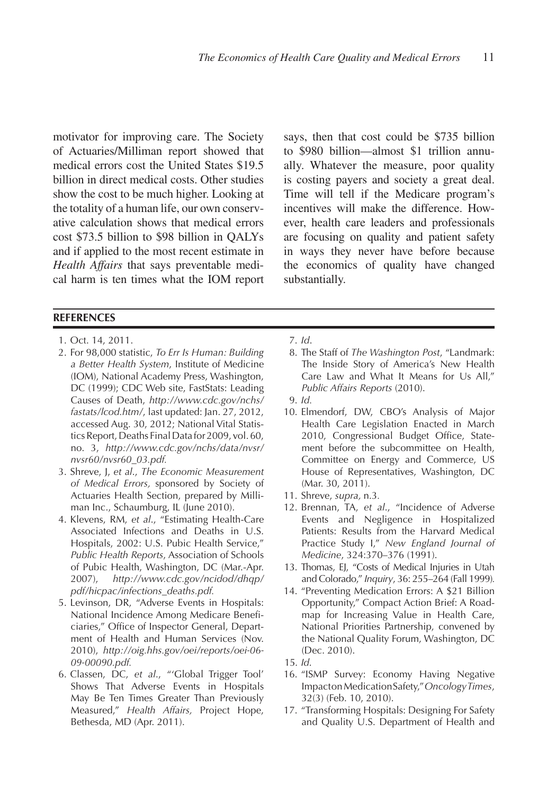motivator for improving care. The Society of Actuaries/Milliman report showed that medical errors cost the United States \$19.5 billion in direct medical costs. Other studies show the cost to be much higher. Looking at the totality of a human life, our own conservative calculation shows that medical errors cost \$73.5 billion to \$98 billion in QALYs and if applied to the most recent estimate in *Health Affairs* that says preventable medical harm is ten times what the IOM report

**REFERENCES**

- 1. Oct. 14, 2011.
- 2. For 98,000 statistic, *To Err Is Human: Building a Better Health System*, Institute of Medicine (IOM), National Academy Press, Washington, DC (1999); CDC Web site, FastStats: Leading Causes of Death, *http://www.cdc.gov/nchs/ fastats/lcod.htm/*, last updated: Jan. 27, 2012, accessed Aug. 30, 2012; National Vital Statistics Report, Deaths Final Data for 2009, vol. 60, no. 3, *http://www.cdc.gov/nchs/data/nvsr/ nvsr60/nvsr60\_03.pdf.*
- 3. Shreve, J, *et al*., *The Economic Measurement of Medical Errors,* sponsored by Society of Actuaries Health Section, prepared by Milliman Inc., Schaumburg, IL (June 2010).
- 4. Klevens, RM, *et al*., "Estimating Health-Care Associated Infections and Deaths in U.S. Hospitals, 2002: U.S. Pubic Health Service," *Public Health Reports*, Association of Schools of Pubic Health, Washington, DC (Mar.-Apr. 2007), *http://www.cdc.gov/ncidod/dhqp/ pdf/hicpac/infections\_deaths.pdf.*
- 5. Levinson, DR, "Adverse Events in Hospitals: National Incidence Among Medicare Beneficiaries," Office of Inspector General, Department of Health and Human Services (Nov. 2010), *http://oig.hhs.gov/oei/reports/oei-06- 09-00090.pdf.*
- 6. Classen, DC, *et al*., "'Global Trigger Tool' Shows That Adverse Events in Hospitals May Be Ten Times Greater Than Previously Measured," *Health Affairs,* Project Hope, Bethesda, MD (Apr. 2011).

says, then that cost could be \$735 billion to \$980 billion—almost \$1 trillion annually. Whatever the measure, poor quality is costing payers and society a great deal. Time will tell if the Medicare program's incentives will make the difference. However, health care leaders and professionals are focusing on quality and patient safety in ways they never have before because the economics of quality have changed substantially.

- 7. *Id*.
- 8. The Staff of *The Washington Post*, "Landmark: The Inside Story of America's New Health Care Law and What It Means for Us All," *Public Affairs Reports* (2010).
- 9. *Id.*
- 10. Elmendorf, DW, CBO's Analysis of Major Health Care Legislation Enacted in March 2010, Congressional Budget Office, Statement before the subcommittee on Health, Committee on Energy and Commerce, US House of Representatives, Washington, DC (Mar. 30, 2011).
- 11. Shreve, *supra,* n.3*.*
- 12. Brennan, TA, *et al*., "Incidence of Adverse Events and Negligence in Hospitalized Patients: Results from the Harvard Medical Practice Study I," *New England Journal of Medicine*, 324:370–376 (1991).
- 13. Thomas, EJ, "Costs of Medical Injuries in Utah and Colorado," *Inquiry*, 36: 255–264 (Fall 1999)*.*
- 14. "Preventing Medication Errors: A \$21 Billion Opportunity," Compact Action Brief: A Roadmap for Increasing Value in Health Care, National Priorities Partnership, convened by the National Quality Forum, Washington, DC (Dec. 2010).
- 15. *Id*.
- 16. "ISMP Survey: Economy Having Negative Impact on Medication Safety," *Oncology Times*, 32(3) (Feb. 10, 2010).
- 17. "Transforming Hospitals: Designing For Safety and Quality U.S. Department of Health and